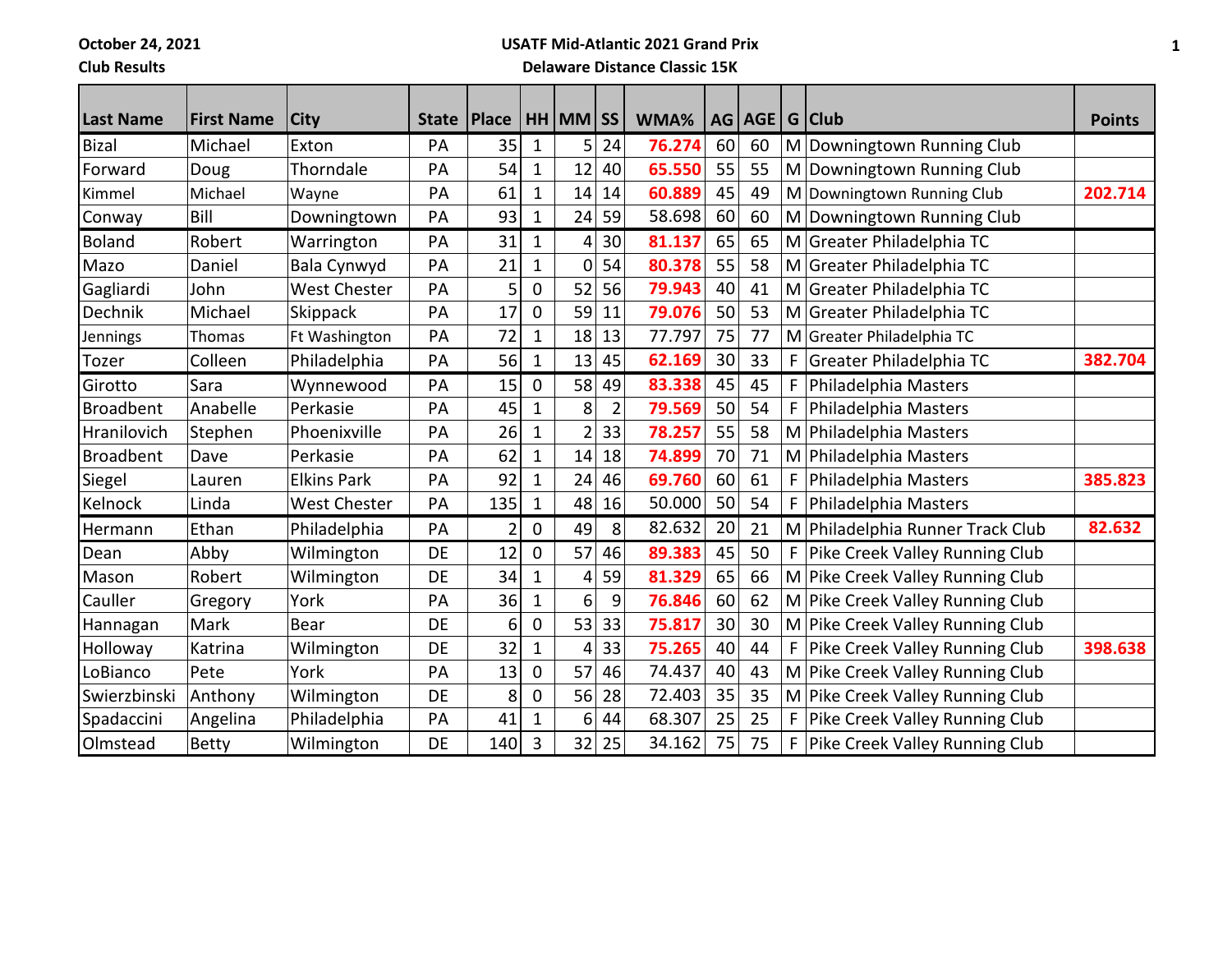**October 24, 2021**

## **Club Results**

## **USATF Mid-Atlantic 2021 Grand Prix Delaware Distance Classic 15K**

| <b>Last Name</b> | <b>First Name</b> | <b>City</b>         | State   Place |                |              | HH MM SS       |                | WMA%   |    | AG AGE |    | G Club                           | <b>Points</b> |
|------------------|-------------------|---------------------|---------------|----------------|--------------|----------------|----------------|--------|----|--------|----|----------------------------------|---------------|
| <b>Bizal</b>     | Michael           | Exton               | PA            | 35             | 1            | 5              | 24             | 76.274 | 60 | 60     |    | M Downingtown Running Club       |               |
| Forward          | Doug              | Thorndale           | PA            | 54             | $\mathbf 1$  | 12             | 40             | 65.550 | 55 | 55     |    | M Downingtown Running Club       |               |
| Kimmel           | Michael           | Wayne               | PA            | 61             | $\mathbf{1}$ | 14             | 14             | 60.889 | 45 | 49     |    | M Downingtown Running Club       | 202.714       |
| Conway           | Bill              | Downingtown         | PA            | 93             | $\mathbf{1}$ | 24             | 59             | 58.698 | 60 | 60     |    | M Downingtown Running Club       |               |
| <b>Boland</b>    | Robert            | Warrington          | PA            | 31             | $\mathbf 1$  | 4              | 30             | 81.137 | 65 | 65     |    | M Greater Philadelphia TC        |               |
| Mazo             | Daniel            | Bala Cynwyd         | PA            | 21             | 1            | 0              | 54             | 80.378 | 55 | 58     |    | M Greater Philadelphia TC        |               |
| Gagliardi        | John              | West Chester        | PA            | 5              | 0            | 52             | 56             | 79.943 | 40 | 41     |    | M Greater Philadelphia TC        |               |
| Dechnik          | Michael           | Skippack            | PA            | 17             | 0            | 59             | 11             | 79.076 | 50 | 53     | M  | Greater Philadelphia TC          |               |
| <b>Jennings</b>  | Thomas            | Ft Washington       | PA            | 72             | 1            | 18             | 13             | 77.797 | 75 | 77     |    | M Greater Philadelphia TC        |               |
| Tozer            | Colleen           | Philadelphia        | PA            | 56             | $\mathbf{1}$ | 13             | 45             | 62.169 | 30 | 33     | F  | Greater Philadelphia TC          | 382.704       |
| Girotto          | Sara              | Wynnewood           | PA            | 15             | 0            | 58             | 49             | 83.338 | 45 | 45     | F  | Philadelphia Masters             |               |
| <b>Broadbent</b> | Anabelle          | Perkasie            | PA            | 45             | 1            | 8              | $\overline{2}$ | 79.569 | 50 | 54     | F  | Philadelphia Masters             |               |
| Hranilovich      | Stephen           | Phoenixville        | PA            | 26             | $\mathbf{1}$ | $\overline{2}$ | 33             | 78.257 | 55 | 58     |    | M Philadelphia Masters           |               |
| Broadbent        | Dave              | Perkasie            | PA            | 62             | 1            | 14             | 18             | 74.899 | 70 | 71     | M  | Philadelphia Masters             |               |
| Siegel           | Lauren            | <b>Elkins Park</b>  | PA            | 92             | 1            | 24             | 46             | 69.760 | 60 | 61     | F  | Philadelphia Masters             | 385.823       |
| Kelnock          | Linda             | <b>West Chester</b> | PA            | 135            | $\mathbf{1}$ | 48             | 16             | 50.000 | 50 | 54     | F  | Philadelphia Masters             |               |
| Hermann          | Ethan             | Philadelphia        | PA            | $\overline{2}$ | $\mathbf 0$  | 49             | 8              | 82.632 | 20 | 21     |    | M Philadelphia Runner Track Club | 82.632        |
| Dean             | Abby              | Wilmington          | DE            | 12             | 0            | 57             | 46             | 89.383 | 45 | 50     | F. | Pike Creek Valley Running Club   |               |
| Mason            | Robert            | Wilmington          | DE            | 34             | $\mathbf{1}$ | 4              | 59             | 81.329 | 65 | 66     |    | M Pike Creek Valley Running Club |               |
| Cauller          | Gregory           | York                | PA            | 36             | 1            | 6              | 9              | 76.846 | 60 | 62     | M  | Pike Creek Valley Running Club   |               |
| Hannagan         | Mark              | Bear                | DE            | 6              | 0            | 53             | 33             | 75.817 | 30 | 30     |    | M Pike Creek Valley Running Club |               |
| Holloway         | Katrina           | Wilmington          | <b>DE</b>     | 32             | $\mathbf 1$  | 4              | 33             | 75.265 | 40 | 44     | F  | Pike Creek Valley Running Club   | 398.638       |
| LoBianco         | Pete              | York                | PA            | 13             | 0            | 57             | 46             | 74.437 | 40 | 43     |    | M Pike Creek Valley Running Club |               |
| Swierzbinski     | Anthony           | Wilmington          | DE            | 8              | 0            | 56             | 28             | 72.403 | 35 | 35     | M  | Pike Creek Valley Running Club   |               |
| Spadaccini       | Angelina          | Philadelphia        | PA            | 41             | $\mathbf{1}$ | 6              | 44             | 68.307 | 25 | 25     | F  | Pike Creek Valley Running Club   |               |
| Olmstead         | <b>Betty</b>      | Wilmington          | DE            | 140            | 3            | 32             | 25             | 34.162 | 75 | 75     | F  | Pike Creek Valley Running Club   |               |